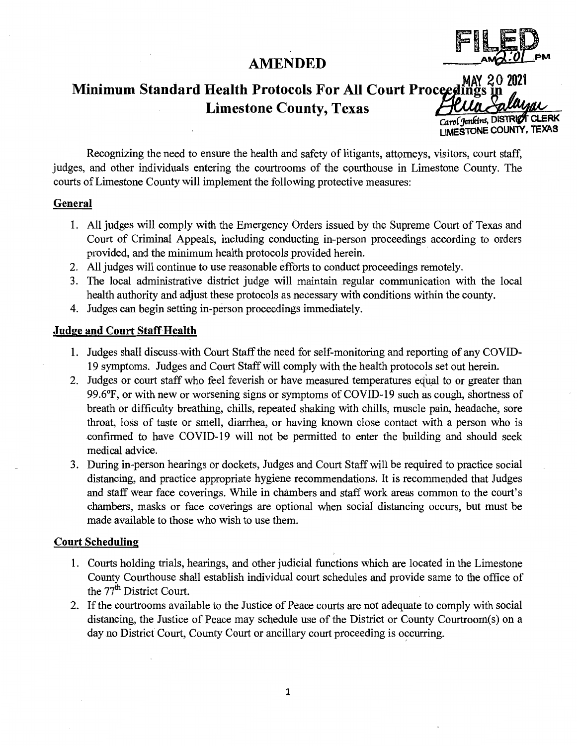# **AMENDED**



# MAY 20 2021 **Minimum Standard Health Protocols For All Court Proceedings Limestone County, Texas**

Carol Jenkins, DISTRICT CLERK LIMESTONE COUNTY, TEXAS

Recognizing the need to ensure the health and safety of litigants, attorneys, visitors, court staff, judges, and other individuals entering the courtrooms of the courthouse in Limestone County. The courts of Limestone County will implement the following protective measures:

#### **General**

- 1. All judges will comply with the Emergency Orders issued by the Supreme Court of Texas and Court of Criminal Appeals, including conducting in-person proceedings according to orders provided, and the minimum health protocols provided herein.
- 2. All judges will continue to use reasonable efforts to conduct proceedings remotely.
- 3. The local administrative district judge will maintain regular communication with the local health authority and adjust these protocols as necessary with conditions within the county.
- 4. Judges can begin setting in-person proceedings immediately.

#### **Judge and Court Staff Health**

- 1. Judges shall discuss with Court Staff the need for self-monitoring and reporting of any COVID-19 symptoms. Judges and Court Staff will comply with the health protocols set out herein.
- 2. Judges or court staff who feel feverish or have measured temperatures equal to or greater than 99.6°F, or with new or worsening signs or symptoms of COVID-19 such as cough, shortness of breath or difficulty breathing, chills, repeated shaking with chills, muscle pain, headache, sore throat, loss of taste or smell, diarrhea, or having known close contact with a person who is confirmed to have COVID-19 will not be permitted to enter the building and should seek medical. advice.
- 3. During in-person hearings or dockets, Judges and Court Staff will be required to practice social distancing, and practice appropriate hygiene recommendations. It is recommended that Judges and staff wear face coverings. While in chambers and staff work areas common to the court's chambers, masks or face coverings are optional when social distancing occurs, but must be made available to those who wish to use them.

#### **Court Scheduling**

- 1. Courts holding trials, hearings, and other judicial functions which are located in the Limestone County Courthouse shall establish individual court schedules and provide same to the office of the  $77<sup>th</sup>$  District Court.
- 2. If the courtrooms available to the Justice of Peace courts are not adequate to comply with social distancing, the Justice of Peace may schedule use of the District or County Courtroom(s) on a day no District Court, County Court or ancillary court proceeding is occurring.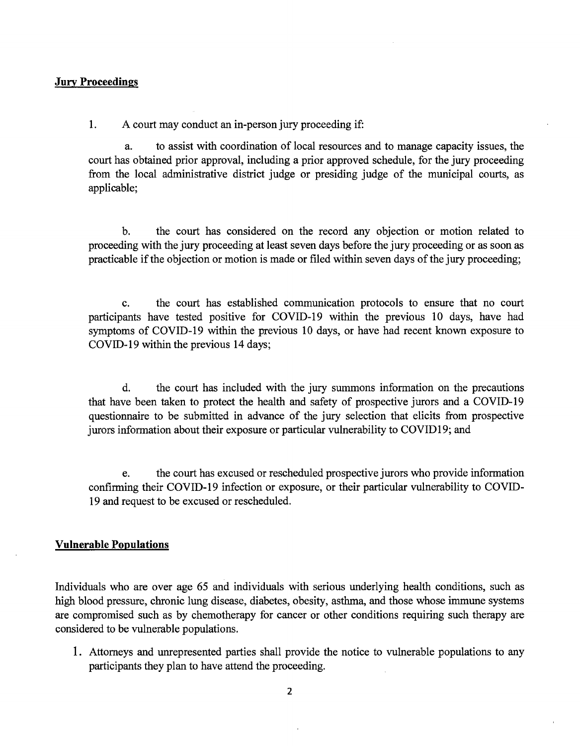#### **Jury Proceedings**

1. A court may conduct an in-person jury proceeding if:

a. to assist with coordination of local resources and to manage capacity issues, the court has obtained prior approval, including a prior approved schedule, for the jury proceeding from the local administrative district judge or presiding judge of the municipal courts, as applicable;

b. the court has considered on the record any objection or motion related to proceeding with the jury proceeding at least seven days before the jury proceeding or as soon as practicable if the objection or motion is made or filed within seven days of the jury proceeding;

c. the court has established communication protocols to ensure that no court participants have tested positive for COVID-19 within the previous 10 days, have had symptoms of COVID-19 within the previous 10 days, or have had recent known exposure to COVID-19 within the previous 14 days;

d. the court has included with the jury summons information on the precautions that have been taken to protect the health and safety of prospective jurors and a COVID-19 questionnaire to be submitted in advance of the jury selection that elicits from prospective jurors information about their exposure or particular vulnerability to COVID19; and

e. the court has excused or rescheduled prospective jurors who provide information confirming their COVID-19 infection or exposure, or their particular vulnerability to COVID-19 and request to be excused or rescheduled.

#### **Vulnerable Populations**

Individuals who are over age 65 and individuals with serious underlying health conditions, such as high blood pressure, chronic lung disease, diabetes, obesity, asthma, and those whose immune systems are compromised such as by chemotherapy for cancer or other conditions requiring such therapy are considered to be vulnerable populations.

1. Attorneys and unrepresented parties shall provide the notice to vulnerable populations to any participants they plan to have attend the proceeding.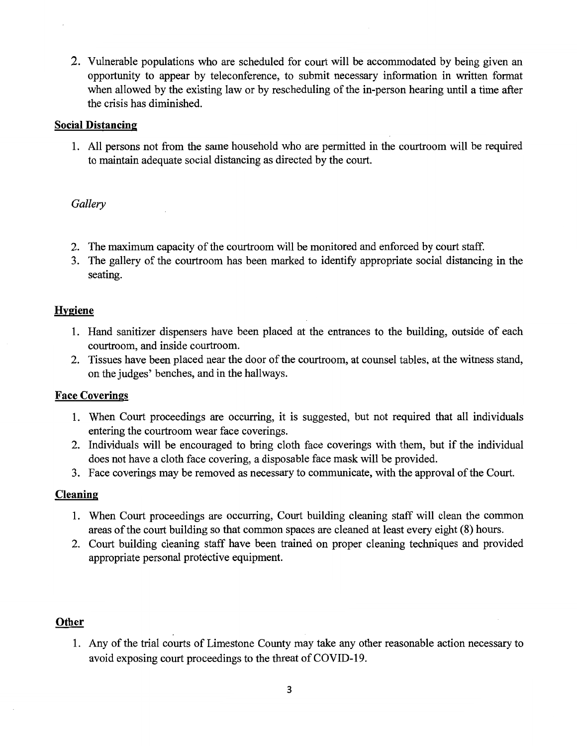2. Vulnerable populations who are scheduled for court will be accommodated by being given an opportunity to appear by teleconference, to submit necessary information in written format when allowed by the existing law or by rescheduling of the in-person hearing until a time after the crisis has diminished.

#### Social Distancing

1. All persons not from the same household who are permitted in the courtroom will be required to maintain adequate social distancing as directed by the court.

#### *Gallery*

- 2. The maximum capacity of the courtroom will be monitored and enforced by court staff.
- 3. The gallery of the courtroom has been marked to identify appropriate social distancing in the seating.

#### Hygiene

- 1. Hand sanitizer dispensers have been placed at the entrances to the building, outside of each courtroom, and inside courtroom.
- 2. Tissues have been placed near the door of the courtroom, at counsel tables, at the witness stand, on the judges' benches, and in the hallways.

## Face Coverings

- 1. When Court proceedings are occurring, it is suggested, but not required that all individuals entering the courtroom wear face coverings.
- 2. Individuals will be encouraged to bring cloth face coverings with them, but if the individual does not have a cloth face covering, a disposable face mask will be provided.
- 3. Face coverings may be removed as necessary to communicate, with the approval of the Court.

## Cleaning

- 1. When Court proceedings are occurring, Court building cleaning staff will clean the common areas of the court building so that common spaces are cleaned at least every eight (8) hours.
- 2. Court building cleaning staff have been trained on proper cleaning techniques and provided appropriate personal protective equipment.

#### Other

1. Any of the trial courts of Limestone County may take any other reasonable action necessary to avoid exposing court proceedings to the threat of COVID-19.